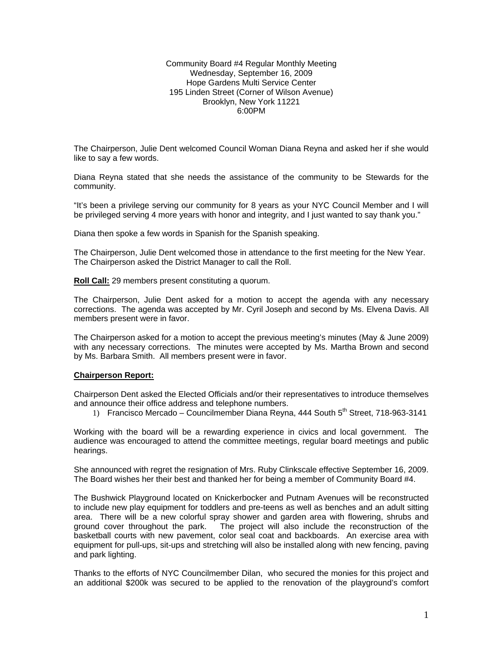Community Board #4 Regular Monthly Meeting Wednesday, September 16, 2009 Hope Gardens Multi Service Center 195 Linden Street (Corner of Wilson Avenue) Brooklyn, New York 11221 6:00PM

The Chairperson, Julie Dent welcomed Council Woman Diana Reyna and asked her if she would like to say a few words.

Diana Reyna stated that she needs the assistance of the community to be Stewards for the community.

"It's been a privilege serving our community for 8 years as your NYC Council Member and I will be privileged serving 4 more years with honor and integrity, and I just wanted to say thank you."

Diana then spoke a few words in Spanish for the Spanish speaking.

The Chairperson, Julie Dent welcomed those in attendance to the first meeting for the New Year. The Chairperson asked the District Manager to call the Roll.

**Roll Call:** 29 members present constituting a quorum.

The Chairperson, Julie Dent asked for a motion to accept the agenda with any necessary corrections. The agenda was accepted by Mr. Cyril Joseph and second by Ms. Elvena Davis. All members present were in favor.

The Chairperson asked for a motion to accept the previous meeting's minutes (May & June 2009) with any necessary corrections. The minutes were accepted by Ms. Martha Brown and second by Ms. Barbara Smith. All members present were in favor.

## **Chairperson Report:**

Chairperson Dent asked the Elected Officials and/or their representatives to introduce themselves and announce their office address and telephone numbers.

1) Francisco Mercado - Councilmember Diana Reyna, 444 South 5<sup>th</sup> Street, 718-963-3141

Working with the board will be a rewarding experience in civics and local government. The audience was encouraged to attend the committee meetings, regular board meetings and public hearings.

She announced with regret the resignation of Mrs. Ruby Clinkscale effective September 16, 2009. The Board wishes her their best and thanked her for being a member of Community Board #4.

The Bushwick Playground located on Knickerbocker and Putnam Avenues will be reconstructed to include new play equipment for toddlers and pre-teens as well as benches and an adult sitting area. There will be a new colorful spray shower and garden area with flowering, shrubs and ground cover throughout the park. The project will also include the reconstruction of the basketball courts with new pavement, color seal coat and backboards. An exercise area with equipment for pull-ups, sit-ups and stretching will also be installed along with new fencing, paving and park lighting.

Thanks to the efforts of NYC Councilmember Dilan, who secured the monies for this project and an additional \$200k was secured to be applied to the renovation of the playground's comfort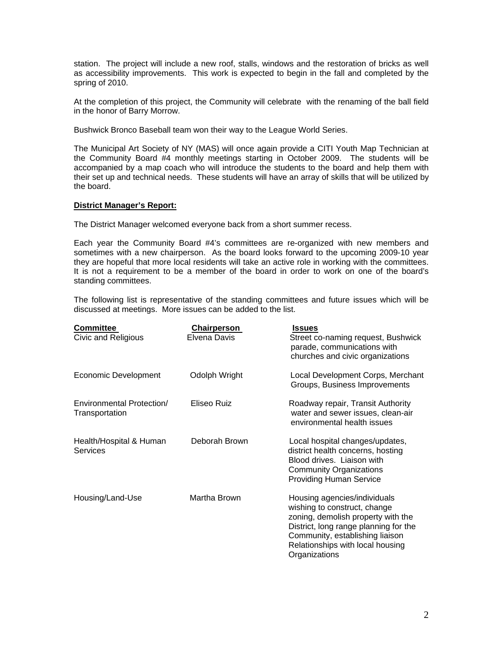station. The project will include a new roof, stalls, windows and the restoration of bricks as well as accessibility improvements. This work is expected to begin in the fall and completed by the spring of 2010.

At the completion of this project, the Community will celebrate with the renaming of the ball field in the honor of Barry Morrow.

Bushwick Bronco Baseball team won their way to the League World Series.

The Municipal Art Society of NY (MAS) will once again provide a CITI Youth Map Technician at the Community Board #4 monthly meetings starting in October 2009. The students will be accompanied by a map coach who will introduce the students to the board and help them with their set up and technical needs. These students will have an array of skills that will be utilized by the board.

## **District Manager's Report:**

The District Manager welcomed everyone back from a short summer recess.

Each year the Community Board #4's committees are re-organized with new members and sometimes with a new chairperson. As the board looks forward to the upcoming 2009-10 year they are hopeful that more local residents will take an active role in working with the committees. It is not a requirement to be a member of the board in order to work on one of the board's standing committees.

The following list is representative of the standing committees and future issues which will be discussed at meetings. More issues can be added to the list.

| <b>Committee</b><br>Civic and Religious     | <b>Chairperson</b><br>Elvena Davis | <b>Issues</b><br>Street co-naming request, Bushwick<br>parade, communications with<br>churches and civic organizations                                                                                                              |
|---------------------------------------------|------------------------------------|-------------------------------------------------------------------------------------------------------------------------------------------------------------------------------------------------------------------------------------|
| <b>Economic Development</b>                 | Odolph Wright                      | Local Development Corps, Merchant<br>Groups, Business Improvements                                                                                                                                                                  |
| Environmental Protection/<br>Transportation | Eliseo Ruiz                        | Roadway repair, Transit Authority<br>water and sewer issues, clean-air<br>environmental health issues                                                                                                                               |
| Health/Hospital & Human<br><b>Services</b>  | Deborah Brown                      | Local hospital changes/updates,<br>district health concerns, hosting<br>Blood drives. Liaison with<br><b>Community Organizations</b><br><b>Providing Human Service</b>                                                              |
| Housing/Land-Use                            | Martha Brown                       | Housing agencies/individuals<br>wishing to construct, change<br>zoning, demolish property with the<br>District, long range planning for the<br>Community, establishing liaison<br>Relationships with local housing<br>Organizations |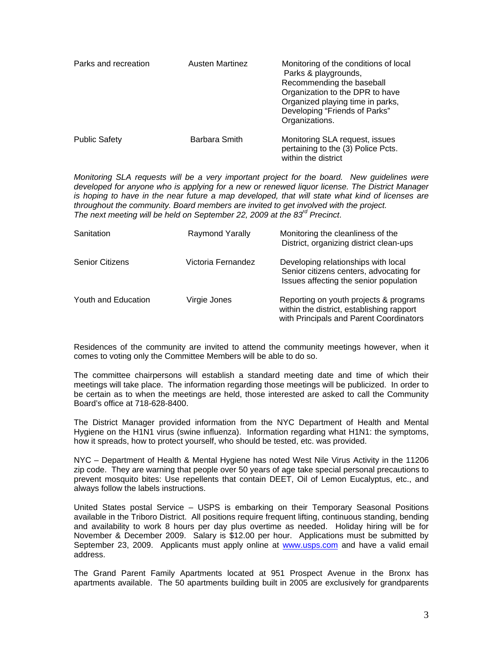| Parks and recreation | Austen Martinez | Monitoring of the conditions of local<br>Parks & playgrounds,<br>Recommending the baseball<br>Organization to the DPR to have<br>Organized playing time in parks,<br>Developing "Friends of Parks"<br>Organizations. |
|----------------------|-----------------|----------------------------------------------------------------------------------------------------------------------------------------------------------------------------------------------------------------------|
| <b>Public Safety</b> | Barbara Smith   | Monitoring SLA request, issues<br>pertaining to the (3) Police Pcts.<br>within the district                                                                                                                          |

*Monitoring SLA requests will be a very important project for the board. New guidelines were developed for anyone who is applying for a new or renewed liquor license. The District Manager is hoping to have in the near future a map developed, that will state what kind of licenses are throughout the community. Board members are invited to get involved with the project. The next meeting will be held on September 22, 2009 at the 83rd Precinct*.

| Sanitation             | <b>Raymond Yarally</b> | Monitoring the cleanliness of the<br>District, organizing district clean-ups                                                   |
|------------------------|------------------------|--------------------------------------------------------------------------------------------------------------------------------|
| <b>Senior Citizens</b> | Victoria Fernandez     | Developing relationships with local<br>Senior citizens centers, advocating for<br>Issues affecting the senior population       |
| Youth and Education    | Virgie Jones           | Reporting on youth projects & programs<br>within the district, establishing rapport<br>with Principals and Parent Coordinators |

Residences of the community are invited to attend the community meetings however, when it comes to voting only the Committee Members will be able to do so.

The committee chairpersons will establish a standard meeting date and time of which their meetings will take place. The information regarding those meetings will be publicized. In order to be certain as to when the meetings are held, those interested are asked to call the Community Board's office at 718-628-8400.

The District Manager provided information from the NYC Department of Health and Mental Hygiene on the H1N1 virus (swine influenza). Information regarding what H1N1: the symptoms, how it spreads, how to protect yourself, who should be tested, etc. was provided.

NYC – Department of Health & Mental Hygiene has noted West Nile Virus Activity in the 11206 zip code. They are warning that people over 50 years of age take special personal precautions to prevent mosquito bites: Use repellents that contain DEET, Oil of Lemon Eucalyptus, etc., and always follow the labels instructions.

United States postal Service – USPS is embarking on their Temporary Seasonal Positions available in the Triboro District. All positions require frequent lifting, continuous standing, bending and availability to work 8 hours per day plus overtime as needed. Holiday hiring will be for November & December 2009. Salary is \$12.00 per hour. Applications must be submitted by September 23, 2009. Applicants must apply online at www.usps.com and have a valid email address.

The Grand Parent Family Apartments located at 951 Prospect Avenue in the Bronx has apartments available. The 50 apartments building built in 2005 are exclusively for grandparents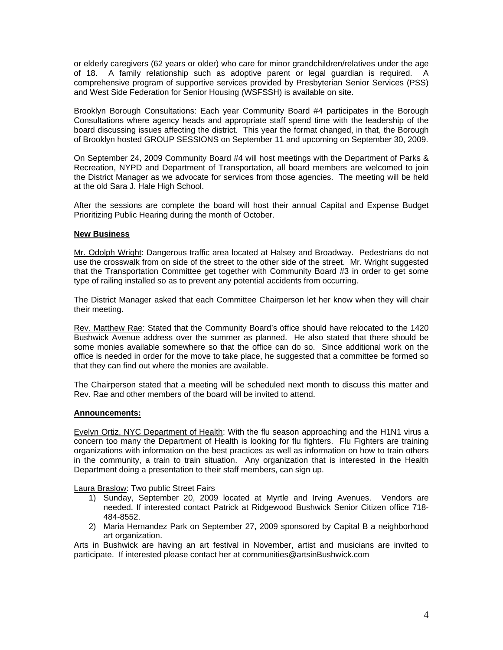or elderly caregivers (62 years or older) who care for minor grandchildren/relatives under the age of 18. A family relationship such as adoptive parent or legal guardian is required. A comprehensive program of supportive services provided by Presbyterian Senior Services (PSS) and West Side Federation for Senior Housing (WSFSSH) is available on site.

Brooklyn Borough Consultations: Each year Community Board #4 participates in the Borough Consultations where agency heads and appropriate staff spend time with the leadership of the board discussing issues affecting the district. This year the format changed, in that, the Borough of Brooklyn hosted GROUP SESSIONS on September 11 and upcoming on September 30, 2009.

On September 24, 2009 Community Board #4 will host meetings with the Department of Parks & Recreation, NYPD and Department of Transportation, all board members are welcomed to join the District Manager as we advocate for services from those agencies. The meeting will be held at the old Sara J. Hale High School.

After the sessions are complete the board will host their annual Capital and Expense Budget Prioritizing Public Hearing during the month of October.

# **New Business**

Mr. Odolph Wright: Dangerous traffic area located at Halsey and Broadway. Pedestrians do not use the crosswalk from on side of the street to the other side of the street. Mr. Wright suggested that the Transportation Committee get together with Community Board #3 in order to get some type of railing installed so as to prevent any potential accidents from occurring.

The District Manager asked that each Committee Chairperson let her know when they will chair their meeting.

Rev. Matthew Rae: Stated that the Community Board's office should have relocated to the 1420 Bushwick Avenue address over the summer as planned. He also stated that there should be some monies available somewhere so that the office can do so. Since additional work on the office is needed in order for the move to take place, he suggested that a committee be formed so that they can find out where the monies are available.

The Chairperson stated that a meeting will be scheduled next month to discuss this matter and Rev. Rae and other members of the board will be invited to attend.

## **Announcements:**

Evelyn Ortiz, NYC Department of Health: With the flu season approaching and the H1N1 virus a concern too many the Department of Health is looking for flu fighters. Flu Fighters are training organizations with information on the best practices as well as information on how to train others in the community, a train to train situation. Any organization that is interested in the Health Department doing a presentation to their staff members, can sign up.

Laura Braslow: Two public Street Fairs

- 1) Sunday, September 20, 2009 located at Myrtle and Irving Avenues. Vendors are needed. If interested contact Patrick at Ridgewood Bushwick Senior Citizen office 718- 484-8552.
- 2) Maria Hernandez Park on September 27, 2009 sponsored by Capital B a neighborhood art organization.

Arts in Bushwick are having an art festival in November, artist and musicians are invited to participate. If interested please contact her at communities@artsinBushwick.com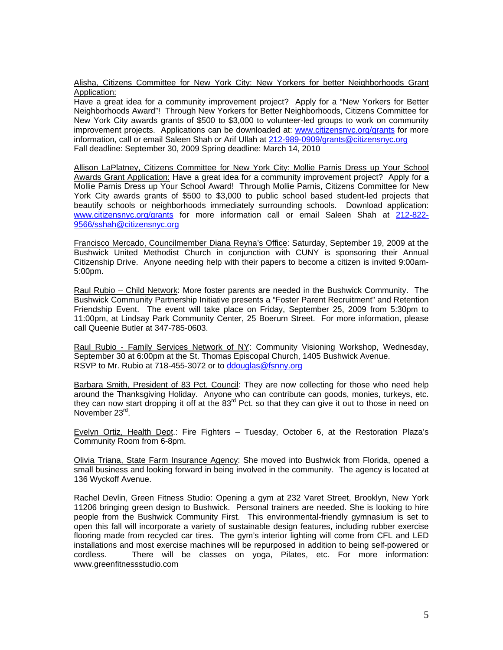Alisha, Citizens Committee for New York City: New Yorkers for better Neighborhoods Grant Application:

Have a great idea for a community improvement project? Apply for a "New Yorkers for Better Neighborhoods Award"! Through New Yorkers for Better Neighborhoods, Citizens Committee for New York City awards grants of \$500 to \$3,000 to volunteer-led groups to work on community improvement projects. Applications can be downloaded at: www.citizensnyc.org/grants for more information, call or email Saleen Shah or Arif Ullah at 212-989-0909/grants@citizensnyc.org Fall deadline: September 30, 2009 Spring deadline: March 14, 2010

Allison LaPlatney, Citizens Committee for New York City: Mollie Parnis Dress up Your School Awards Grant Application: Have a great idea for a community improvement project? Apply for a Mollie Parnis Dress up Your School Award! Through Mollie Parnis, Citizens Committee for New York City awards grants of \$500 to \$3,000 to public school based student-led projects that beautify schools or neighborhoods immediately surrounding schools. Download application: www.citizensnyc.org/grants for more information call or email Saleen Shah at 212-822- 9566/sshah@citizensnyc.org

Francisco Mercado, Councilmember Diana Reyna's Office: Saturday, September 19, 2009 at the Bushwick United Methodist Church in conjunction with CUNY is sponsoring their Annual Citizenship Drive. Anyone needing help with their papers to become a citizen is invited 9:00am-5:00pm.

Raul Rubio – Child Network: More foster parents are needed in the Bushwick Community. The Bushwick Community Partnership Initiative presents a "Foster Parent Recruitment" and Retention Friendship Event. The event will take place on Friday, September 25, 2009 from 5:30pm to 11:00pm, at Lindsay Park Community Center, 25 Boerum Street. For more information, please call Queenie Butler at 347-785-0603.

Raul Rubio - Family Services Network of NY: Community Visioning Workshop, Wednesday, September 30 at 6:00pm at the St. Thomas Episcopal Church, 1405 Bushwick Avenue. RSVP to Mr. Rubio at 718-455-3072 or to ddouglas@fsnny.org

Barbara Smith, President of 83 Pct. Council: They are now collecting for those who need help around the Thanksgiving Holiday. Anyone who can contribute can goods, monies, turkeys, etc. they can now start dropping it off at the 83<sup>rd</sup> Pct. so that they can give it out to those in need on November 23<sup>rd</sup>.

Evelyn Ortiz, Health Dept.: Fire Fighters – Tuesday, October 6, at the Restoration Plaza's Community Room from 6-8pm.

Olivia Triana, State Farm Insurance Agency: She moved into Bushwick from Florida, opened a small business and looking forward in being involved in the community. The agency is located at 136 Wyckoff Avenue.

Rachel Devlin, Green Fitness Studio: Opening a gym at 232 Varet Street, Brooklyn, New York 11206 bringing green design to Bushwick. Personal trainers are needed. She is looking to hire people from the Bushwick Community First. This environmental-friendly gymnasium is set to open this fall will incorporate a variety of sustainable design features, including rubber exercise flooring made from recycled car tires. The gym's interior lighting will come from CFL and LED installations and most exercise machines will be repurposed in addition to being self-powered or cordless. There will be classes on yoga, Pilates, etc. For more information: www.greenfitnessstudio.com